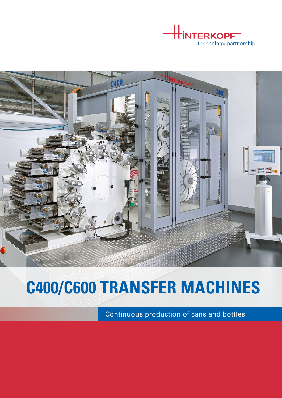



## **C400/C600 TRANSFER MACHINES**

Continuous production of cans and bottles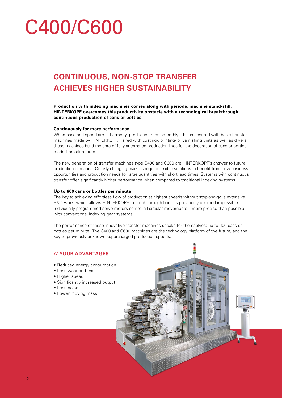# C400/C600

### **CONTINUOUS, NON-STOP TRANSFER ACHIEVES HIGHER SUSTAINABILITY**

**Production with indexing machines comes along with periodic machine stand-still. HINTERKOPF overcomes this productivity obstacle with a technological breakthrough: continuous production of cans or bottles.**

#### **Continuously for more performance**

When pace and speed are in harmony, production runs smoothly. This is ensured with basic transfer machines made by HINTERKOPF. Paired with coating-, printing- or varnishing units as well as dryers, these machines build the core of fully automated production lines for the decoration of cans or bottles made from aluminum.

The new generation of transfer machines type C400 and C600 are HINTERKOPF's answer to future production demands. Quickly changing markets require flexible solutions to benefit from new business opportunities and production needs for large quantities with short lead times. Systems with continuous transfer offer significantly higher performance when compared to traditional indexing systems.

#### **Up to 600 cans or bottles per minute**

The key to achieving effortless flow of production at highest speeds without stop-and-go is extensive R&D work, which allows HINTERKOPF to break through barriers previously deemed impossible. Individually programmed servo motors control all circular movements – more precise than possible with conventional indexing gear systems.

The performance of these innovative transfer machines speaks for themselves: up to 600 cans or bottles per minute! The C400 and C600 machines are the technology platform of the future, and the key to previously unknown supercharged production speeds.

#### **// YOUR ADVANTAGES**

- Reduced energy consumption
- Less wear and tear
- Higher speed
- Significantly increased output
- Less noise
- Lower moving mass

2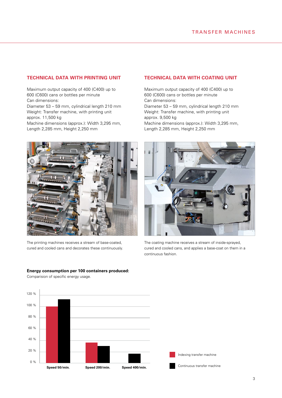#### **TECHNICAL DATA WITH PRINTING UNIT**

Maximum output capacity of 400 (C400) up to 600 (C600) cans or bottles per minute Can dimensions: Diameter 53 – 59 mm, cylindrical length 210 mm Weight: Transfer machine, with printing unit approx. 11,500 kg Machine dimensions (approx.): Width 3,295 mm, Length 2,285 mm, Height 2,250 mm

The printing machines receives a stream of base-coated, cured and cooled cans and decorates these continuously.

**Energy consumption per 100 containers produced:**

Comparision of specific energy usage.

#### **TECHNICAL DATA WITH COATING UNIT**

Maximum output capacity of 400 (C400) up to 600 (C600) cans or bottles per minute Can dimensions: Diameter 53 – 59 mm, cylindrical length 210 mm Weight: Transfer machine, with printing unit approx. 9,500 kg Machine dimensions (approx.): Width 3,295 mm, Length 2,285 mm, Height 2,250 mm



The coating machine receives a stream of inside-sprayed, cured and cooled cans, and applies a base-coat on them in a continuous fashion.